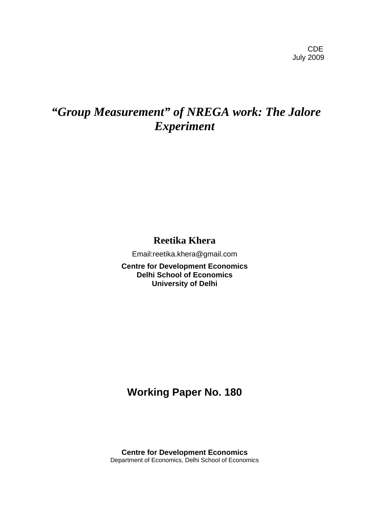# *"Group Measurement" of NREGA work: The Jalore Experiment*

**Reetika Khera**

Email:reetika.khera@gmail.com

**Centre for Development Economics Delhi School of Economics University of Delhi** 

## **Working Paper No. 180**

**Centre for Development Economics**  Department of Economics, Delhi School of Economics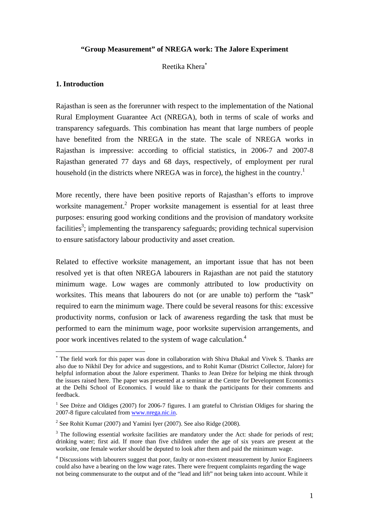## **"Group Measurement" of NREGA work: The Jalore Experiment**

#### Reetika Khera[∗](#page-1-0)

#### **1. Introduction**

 $\overline{a}$ 

Rajasthan is seen as the forerunner with respect to the implementation of the National Rural Employment Guarantee Act (NREGA), both in terms of scale of works and transparency safeguards. This combination has meant that large numbers of people have benefited from the NREGA in the state. The scale of NREGA works in Rajasthan is impressive: according to official statistics, in 2006-7 and 2007-8 Rajasthan generated 77 days and 68 days, respectively, of employment per rural household (in the districts where NREGA was in force), the highest in the country.<sup>[1](#page-1-1)</sup>

More recently, there have been positive reports of Rajasthan's efforts to improve worksite management.<sup>[2](#page-1-2)</sup> Proper worksite management is essential for at least three purposes: ensuring good working conditions and the provision of mandatory worksite facilities<sup>3</sup>; implementing the transparency safeguards; providing technical supervision to ensure satisfactory labour productivity and asset creation.

Related to effective worksite management, an important issue that has not been resolved yet is that often NREGA labourers in Rajasthan are not paid the statutory minimum wage. Low wages are commonly attributed to low productivity on worksites. This means that labourers do not (or are unable to) perform the "task" required to earn the minimum wage. There could be several reasons for this: excessive productivity norms, confusion or lack of awareness regarding the task that must be performed to earn the minimum wage, poor worksite supervision arrangements, and poor work incentives related to the system of wage calculation.<sup>4</sup>

<span id="page-1-0"></span><sup>∗</sup> The field work for this paper was done in collaboration with Shiva Dhakal and Vivek S. Thanks are also due to Nikhil Dey for advice and suggestions, and to Rohit Kumar (District Collector, Jalore) for helpful information about the Jalore experiment. Thanks to Jean Drèze for helping me think through the issues raised here. The paper was presented at a seminar at the Centre for Development Economics at the Delhi School of Economics. I would like to thank the participants for their comments and feedback.

<span id="page-1-1"></span><sup>&</sup>lt;sup>1</sup> See Drèze and Oldiges (2007) for 2006-7 figures. I am grateful to Christian Oldiges for sharing the 2007-8 figure calculated from [www.nrega.nic.in.](http://www.nrega.nic.in/)

<span id="page-1-2"></span><sup>&</sup>lt;sup>2</sup> See Rohit Kumar (2007) and Yamini Iyer (2007). See also Ridge (2008).

<span id="page-1-3"></span> $3$  The following essential worksite facilities are mandatory under the Act: shade for periods of rest; drinking water; first aid. If more than five children under the age of six years are present at the worksite, one female worker should be deputed to look after them and paid the minimum wage.

<span id="page-1-4"></span><sup>&</sup>lt;sup>4</sup> Discussions with labourers suggest that poor, faulty or non-existent measurement by Junior Engineers could also have a bearing on the low wage rates. There were frequent complaints regarding the wage not being commensurate to the output and of the "lead and lift" not being taken into account. While it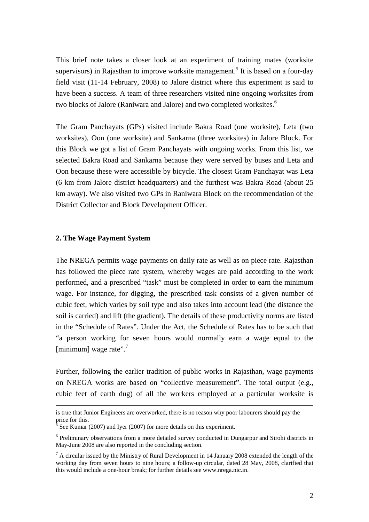This brief note takes a closer look at an experiment of training mates (worksite supervisors) in Rajasthan to improve worksite management.<sup>[5](#page-2-0)</sup> It is based on a four-day field visit (11-14 February, 2008) to Jalore district where this experiment is said to have been a success. A team of three researchers visited nine ongoing worksites from two blocks of Jalore (Raniwara and Jalore) and two completed worksites.<sup>[6](#page-2-1)</sup>

The Gram Panchayats (GPs) visited include Bakra Road (one worksite), Leta (two worksites), Oon (one worksite) and Sankarna (three worksites) in Jalore Block. For this Block we got a list of Gram Panchayats with ongoing works. From this list, we selected Bakra Road and Sankarna because they were served by buses and Leta and Oon because these were accessible by bicycle. The closest Gram Panchayat was Leta (6 km from Jalore district headquarters) and the furthest was Bakra Road (about 25 km away). We also visited two GPs in Raniwara Block on the recommendation of the District Collector and Block Development Officer.

#### **2. The Wage Payment System**

The NREGA permits wage payments on daily rate as well as on piece rate. Rajasthan has followed the piece rate system, whereby wages are paid according to the work performed, and a prescribed "task" must be completed in order to earn the minimum wage. For instance, for digging, the prescribed task consists of a given number of cubic feet, which varies by soil type and also takes into account lead (the distance the soil is carried) and lift (the gradient). The details of these productivity norms are listed in the "Schedule of Rates". Under the Act, the Schedule of Rates has to be such that "a person working for seven hours would normally earn a wage equal to the [minimum] wage rate".<sup>7</sup>

Further, following the earlier tradition of public works in Rajasthan, wage payments on NREGA works are based on "collective measurement". The total output (e.g., cubic feet of earth dug) of all the workers employed at a particular worksite is

is true that Junior Engineers are overworked, there is no reason why poor labourers should pay the price for this. 5

<span id="page-2-0"></span> $5$  See Kumar (2007) and Iyer (2007) for more details on this experiment.

<span id="page-2-1"></span><sup>&</sup>lt;sup>6</sup> Preliminary observations from a more detailed survey conducted in Dungarpur and Sirohi districts in May-June 2008 are also reported in the concluding section.

<span id="page-2-2"></span> $<sup>7</sup>$  A circular issued by the Ministry of Rural Development in 14 January 2008 extended the length of the</sup> working day from seven hours to nine hours; a follow-up circular, dated 28 May, 2008, clarified that this would include a one-hour break; for further details see www.nrega.nic.in.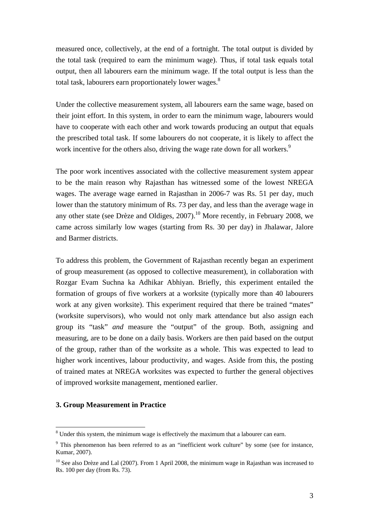measured once, collectively, at the end of a fortnight. The total output is divided by the total task (required to earn the minimum wage). Thus, if total task equals total output, then all labourers earn the minimum wage. If the total output is less than the total task, labourers earn proportionately lower wages. $^8$ 

Under the collective measurement system, all labourers earn the same wage, based on their joint effort. In this system, in order to earn the minimum wage, labourers would have to cooperate with each other and work towards producing an output that equals the prescribed total task. If some labourers do not cooperate, it is likely to affect the work incentive for the others also, driving the wage rate down for all workers.<sup>9</sup>

The poor work incentives associated with the collective measurement system appear to be the main reason why Rajasthan has witnessed some of the lowest NREGA wages. The average wage earned in Rajasthan in 2006-7 was Rs. 51 per day, much lower than the statutory minimum of Rs. 73 per day, and less than the average wage in any other state (see Drèze and Oldiges,  $2007$ ).<sup>10</sup> More recently, in February 2008, we came across similarly low wages (starting from Rs. 30 per day) in Jhalawar, Jalore and Barmer districts.

To address this problem, the Government of Rajasthan recently began an experiment of group measurement (as opposed to collective measurement), in collaboration with Rozgar Evam Suchna ka Adhikar Abhiyan. Briefly, this experiment entailed the formation of groups of five workers at a worksite (typically more than 40 labourers work at any given worksite). This experiment required that there be trained "mates" (worksite supervisors), who would not only mark attendance but also assign each group its "task" *and* measure the "output" of the group. Both, assigning and measuring, are to be done on a daily basis. Workers are then paid based on the output of the group, rather than of the worksite as a whole. This was expected to lead to higher work incentives, labour productivity, and wages. Aside from this, the posting of trained mates at NREGA worksites was expected to further the general objectives of improved worksite management, mentioned earlier.

#### **3. Group Measurement in Practice**

<span id="page-3-0"></span><sup>&</sup>lt;sup>8</sup> Under this system, the minimum wage is effectively the maximum that a labourer can earn.

<span id="page-3-1"></span><sup>&</sup>lt;sup>9</sup> This phenomenon has been referred to as an "inefficient work culture" by some (see for instance, Kumar, 2007).

<span id="page-3-2"></span> $10$  See also Drèze and Lal (2007). From 1 April 2008, the minimum wage in Rajasthan was increased to Rs. 100 per day (from Rs. 73).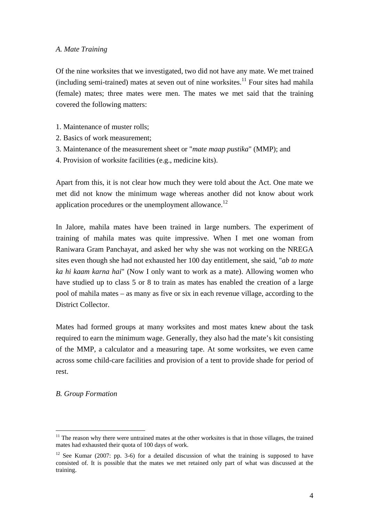#### *A. Mate Training*

Of the nine worksites that we investigated, two did not have any mate. We met trained  $(including semi-trained)$  mates at seven out of nine worksites.<sup>11</sup> Four sites had mahila (female) mates; three mates were men. The mates we met said that the training covered the following matters:

- 1. Maintenance of muster rolls;
- 2. Basics of work measurement;
- 3. Maintenance of the measurement sheet or "*mate maap pustika*" (MMP); and
- 4. Provision of worksite facilities (e.g., medicine kits).

Apart from this, it is not clear how much they were told about the Act. One mate we met did not know the minimum wage whereas another did not know about work application procedures or the unemployment allowance.<sup>12</sup>

In Jalore, mahila mates have been trained in large numbers. The experiment of training of mahila mates was quite impressive. When I met one woman from Raniwara Gram Panchayat, and asked her why she was not working on the NREGA sites even though she had not exhausted her 100 day entitlement, she said, "*ab to mate ka hi kaam karna hai*" (Now I only want to work as a mate). Allowing women who have studied up to class 5 or 8 to train as mates has enabled the creation of a large pool of mahila mates – as many as five or six in each revenue village, according to the District Collector.

Mates had formed groups at many worksites and most mates knew about the task required to earn the minimum wage. Generally, they also had the mate's kit consisting of the MMP, a calculator and a measuring tape. At some worksites, we even came across some child-care facilities and provision of a tent to provide shade for period of rest.

#### *B. Group Formation*

 $\overline{a}$ 

<span id="page-4-0"></span> $11$  The reason why there were untrained mates at the other worksites is that in those villages, the trained mates had exhausted their quota of 100 days of work.

<span id="page-4-1"></span> $12$  See Kumar (2007: pp. 3-6) for a detailed discussion of what the training is supposed to have consisted of. It is possible that the mates we met retained only part of what was discussed at the training.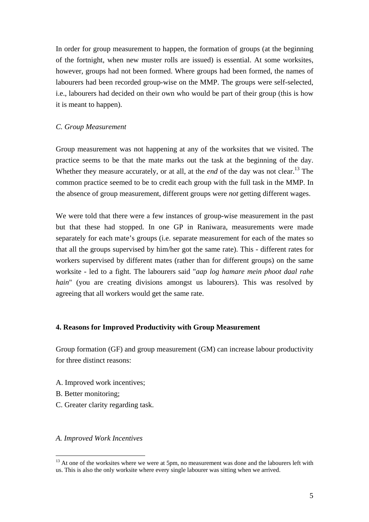In order for group measurement to happen, the formation of groups (at the beginning of the fortnight, when new muster rolls are issued) is essential. At some worksites, however, groups had not been formed. Where groups had been formed, the names of labourers had been recorded group-wise on the MMP. The groups were self-selected, i.e., labourers had decided on their own who would be part of their group (this is how it is meant to happen).

#### *C. Group Measurement*

Group measurement was not happening at any of the worksites that we visited. The practice seems to be that the mate marks out the task at the beginning of the day. Whether they measure accurately, or at all, at the *end* of the day was not clear.<sup>13</sup> The common practice seemed to be to credit each group with the full task in the MMP. In the absence of group measurement, different groups were *not* getting different wages.

We were told that there were a few instances of group-wise measurement in the past but that these had stopped. In one GP in Raniwara, measurements were made separately for each mate's groups (i.e. separate measurement for each of the mates so that all the groups supervised by him/her got the same rate). This - different rates for workers supervised by different mates (rather than for different groups) on the same worksite - led to a fight. The labourers said "*aap log hamare mein phoot daal rahe hain*" (you are creating divisions amongst us labourers). This was resolved by agreeing that all workers would get the same rate.

#### **4. Reasons for Improved Productivity with Group Measurement**

Group formation (GF) and group measurement (GM) can increase labour productivity for three distinct reasons:

- A. Improved work incentives;
- B. Better monitoring;

 $\overline{a}$ 

C. Greater clarity regarding task.

#### *A. Improved Work Incentives*

<span id="page-5-0"></span> $13$  At one of the worksites where we were at 5pm, no measurement was done and the labourers left with us. This is also the only worksite where every single labourer was sitting when we arrived.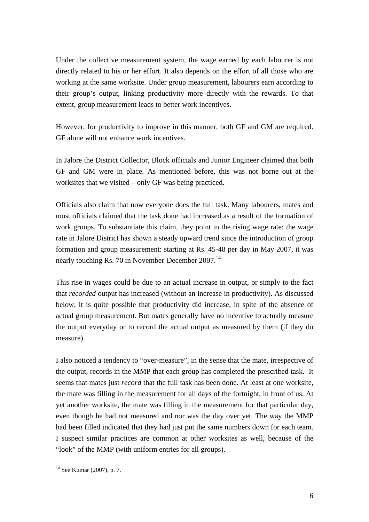Under the collective measurement system, the wage earned by each labourer is not directly related to his or her effort. It also depends on the effort of all those who are working at the same worksite. Under group measurement, labourers earn according to their group's output, linking productivity more directly with the rewards. To that extent, group measurement leads to better work incentives.

However, for productivity to improve in this manner, both GF and GM are required. GF alone will not enhance work incentives.

In Jalore the District Collector, Block officials and Junior Engineer claimed that both GF and GM were in place. As mentioned before, this was not borne out at the worksites that we visited – only GF was being practiced.

Officials also claim that now everyone does the full task. Many labourers, mates and most officials claimed that the task done had increased as a result of the formation of work groups. To substantiate this claim, they point to the rising wage rate: the wage rate in Jalore District has shown a steady upward trend since the introduction of group formation and group measurement: starting at Rs. 45-48 per day in May 2007, it was nearly touching Rs. 70 in November-December 2007.<sup>[14](#page-6-0)</sup>

This rise in wages could be due to an actual increase in output, or simply to the fact that *recorded* output has increased (without an increase in productivity). As discussed below, it is quite possible that productivity did increase, in spite of the absence of actual group measurement. But mates generally have no incentive to actually measure the output everyday or to record the actual output as measured by them (if they do measure).

I also noticed a tendency to "over-measure", in the sense that the mate, irrespective of the output, records in the MMP that each group has completed the prescribed task. It seems that mates just *record* that the full task has been done. At least at one worksite, the mate was filling in the measurement for all days of the fortnight, in front of us. At yet another worksite, the mate was filling in the measurement for that particular day, even though he had not measured and nor was the day over yet. The way the MMP had been filled indicated that they had just put the same numbers down for each team. I suspect similar practices are common at other worksites as well, because of the "look" of the MMP (with uniform entries for all groups).

 $\overline{a}$ 

<span id="page-6-0"></span> $14$  See Kumar (2007), p. 7.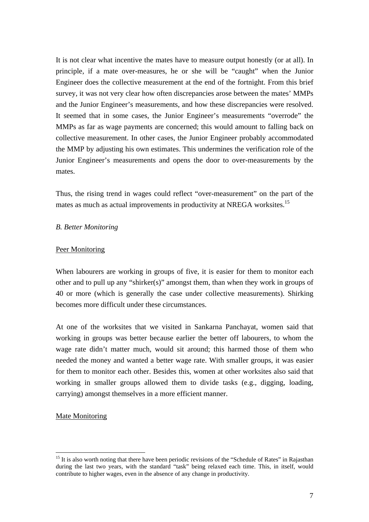It is not clear what incentive the mates have to measure output honestly (or at all). In principle, if a mate over-measures, he or she will be "caught" when the Junior Engineer does the collective measurement at the end of the fortnight. From this brief survey, it was not very clear how often discrepancies arose between the mates' MMPs and the Junior Engineer's measurements, and how these discrepancies were resolved. It seemed that in some cases, the Junior Engineer's measurements "overrode" the MMPs as far as wage payments are concerned; this would amount to falling back on collective measurement. In other cases, the Junior Engineer probably accommodated the MMP by adjusting his own estimates. This undermines the verification role of the Junior Engineer's measurements and opens the door to over-measurements by the mates.

Thus, the rising trend in wages could reflect "over-measurement" on the part of the mates as much as actual improvements in productivity at NREGA worksites.<sup>[15](#page-7-0)</sup>

## *B. Better Monitoring*

## Peer Monitoring

When labourers are working in groups of five, it is easier for them to monitor each other and to pull up any "shirker(s)" amongst them, than when they work in groups of 40 or more (which is generally the case under collective measurements). Shirking becomes more difficult under these circumstances.

At one of the worksites that we visited in Sankarna Panchayat, women said that working in groups was better because earlier the better off labourers, to whom the wage rate didn't matter much, would sit around; this harmed those of them who needed the money and wanted a better wage rate. With smaller groups, it was easier for them to monitor each other. Besides this, women at other worksites also said that working in smaller groups allowed them to divide tasks (e.g., digging, loading, carrying) amongst themselves in a more efficient manner.

## Mate Monitoring

 $\overline{a}$ 

<span id="page-7-0"></span><sup>&</sup>lt;sup>15</sup> It is also worth noting that there have been periodic revisions of the "Schedule of Rates" in Rajasthan during the last two years, with the standard "task" being relaxed each time. This, in itself, would contribute to higher wages, even in the absence of any change in productivity.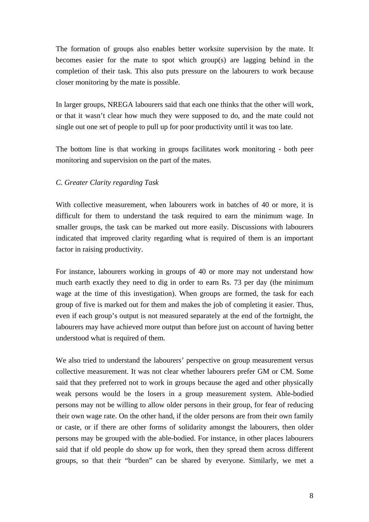The formation of groups also enables better worksite supervision by the mate. It becomes easier for the mate to spot which group(s) are lagging behind in the completion of their task. This also puts pressure on the labourers to work because closer monitoring by the mate is possible.

In larger groups, NREGA labourers said that each one thinks that the other will work, or that it wasn't clear how much they were supposed to do, and the mate could not single out one set of people to pull up for poor productivity until it was too late.

The bottom line is that working in groups facilitates work monitoring - both peer monitoring and supervision on the part of the mates.

## *C. Greater Clarity regarding Task*

With collective measurement, when labourers work in batches of 40 or more, it is difficult for them to understand the task required to earn the minimum wage. In smaller groups, the task can be marked out more easily. Discussions with labourers indicated that improved clarity regarding what is required of them is an important factor in raising productivity.

For instance, labourers working in groups of 40 or more may not understand how much earth exactly they need to dig in order to earn Rs. 73 per day (the minimum wage at the time of this investigation). When groups are formed, the task for each group of five is marked out for them and makes the job of completing it easier. Thus, even if each group's output is not measured separately at the end of the fortnight, the labourers may have achieved more output than before just on account of having better understood what is required of them.

We also tried to understand the labourers' perspective on group measurement versus collective measurement. It was not clear whether labourers prefer GM or CM. Some said that they preferred not to work in groups because the aged and other physically weak persons would be the losers in a group measurement system. Able-bodied persons may not be willing to allow older persons in their group, for fear of reducing their own wage rate. On the other hand, if the older persons are from their own family or caste, or if there are other forms of solidarity amongst the labourers, then older persons may be grouped with the able-bodied. For instance, in other places labourers said that if old people do show up for work, then they spread them across different groups, so that their "burden" can be shared by everyone. Similarly, we met a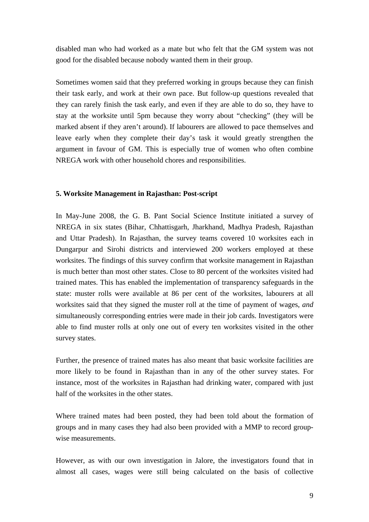disabled man who had worked as a mate but who felt that the GM system was not good for the disabled because nobody wanted them in their group.

Sometimes women said that they preferred working in groups because they can finish their task early, and work at their own pace. But follow-up questions revealed that they can rarely finish the task early, and even if they are able to do so, they have to stay at the worksite until 5pm because they worry about "checking" (they will be marked absent if they aren't around). If labourers are allowed to pace themselves and leave early when they complete their day's task it would greatly strengthen the argument in favour of GM. This is especially true of women who often combine NREGA work with other household chores and responsibilities.

## **5. Worksite Management in Rajasthan: Post-script**

In May-June 2008, the G. B. Pant Social Science Institute initiated a survey of NREGA in six states (Bihar, Chhattisgarh, Jharkhand, Madhya Pradesh, Rajasthan and Uttar Pradesh). In Rajasthan, the survey teams covered 10 worksites each in Dungarpur and Sirohi districts and interviewed 200 workers employed at these worksites. The findings of this survey confirm that worksite management in Rajasthan is much better than most other states. Close to 80 percent of the worksites visited had trained mates. This has enabled the implementation of transparency safeguards in the state: muster rolls were available at 86 per cent of the worksites, labourers at all worksites said that they signed the muster roll at the time of payment of wages, *and* simultaneously corresponding entries were made in their job cards. Investigators were able to find muster rolls at only one out of every ten worksites visited in the other survey states.

Further, the presence of trained mates has also meant that basic worksite facilities are more likely to be found in Rajasthan than in any of the other survey states. For instance, most of the worksites in Rajasthan had drinking water, compared with just half of the worksites in the other states.

Where trained mates had been posted, they had been told about the formation of groups and in many cases they had also been provided with a MMP to record groupwise measurements.

However, as with our own investigation in Jalore, the investigators found that in almost all cases, wages were still being calculated on the basis of collective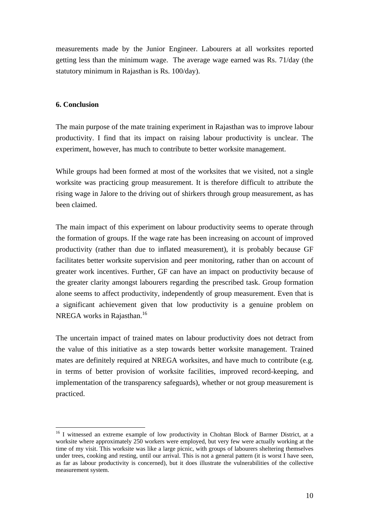measurements made by the Junior Engineer. Labourers at all worksites reported getting less than the minimum wage. The average wage earned was Rs. 71/day (the statutory minimum in Rajasthan is Rs. 100/day).

## **6. Conclusion**

The main purpose of the mate training experiment in Rajasthan was to improve labour productivity. I find that its impact on raising labour productivity is unclear. The experiment, however, has much to contribute to better worksite management.

While groups had been formed at most of the worksites that we visited, not a single worksite was practicing group measurement. It is therefore difficult to attribute the rising wage in Jalore to the driving out of shirkers through group measurement, as has been claimed.

The main impact of this experiment on labour productivity seems to operate through the formation of groups. If the wage rate has been increasing on account of improved productivity (rather than due to inflated measurement), it is probably because GF facilitates better worksite supervision and peer monitoring, rather than on account of greater work incentives. Further, GF can have an impact on productivity because of the greater clarity amongst labourers regarding the prescribed task. Group formation alone seems to affect productivity, independently of group measurement. Even that is a significant achievement given that low productivity is a genuine problem on NREGA works in Rajasthan.<sup>16</sup>

The uncertain impact of trained mates on labour productivity does not detract from the value of this initiative as a step towards better worksite management. Trained mates are definitely required at NREGA worksites, and have much to contribute (e.g. in terms of better provision of worksite facilities, improved record-keeping, and implementation of the transparency safeguards), whether or not group measurement is practiced.

<span id="page-10-0"></span> $\overline{a}$ <sup>16</sup> I witnessed an extreme example of low productivity in Chohtan Block of Barmer District, at a worksite where approximately 250 workers were employed, but very few were actually working at the time of my visit. This worksite was like a large picnic, with groups of labourers sheltering themselves under trees, cooking and resting, until our arrival. This is not a general pattern (it is worst I have seen, as far as labour productivity is concerned), but it does illustrate the vulnerabilities of the collective measurement system.